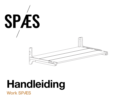

# **Handleiding Work SPÆS**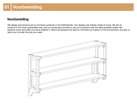## **Voorbereiding**

We design and produce all our furniture ourselves in the Netherlands. Our designs are entirely made of wood. We aim to produce in the most sustainable way, and our production process is set up to produce with the least possible waste. We produce every item after you have ordered it. Above all because we want to minimise our impact on the environment, but also to allow you to order the size you need.

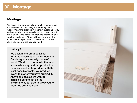## **02 Montage**

## **Montage**

We design and produce all our furniture ourselves in the Netherlands. Our designs are entirely made of wood. We aim to produce in the most sustainable way, and our production process is set up to produce with the least possible waste. We produce every item after you have ordered it. Above all because we want to minimise our impact on the environment, but also to allow you to order the size you need.

#### **Let op!**

We design and produce all our furniture ourselves in the Netherlands. Our designs are entirely made of wood. We aim to produce in the most sustainable way, and our production process is set up to produce with the least possible waste. We produce every item after you have ordered it. Above all because we want to minimise our impact on the environment, but also to allow you to order the size you need.